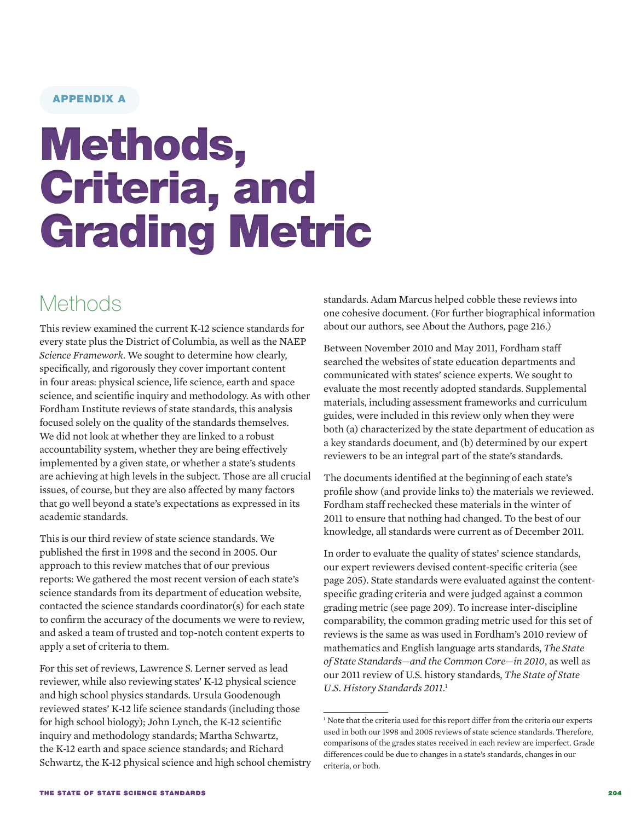### APPENDIX A

# Methods, Criteria, and Grading Metric

### **Methods**

This review examined the current K-12 science standards for every state plus the District of Columbia, as well as the NAEP *Science Framework*. We sought to determine how clearly, specifically, and rigorously they cover important content in four areas: physical science, life science, earth and space science, and scientific inquiry and methodology. As with other Fordham Institute reviews of state standards, this analysis focused solely on the quality of the standards themselves. We did not look at whether they are linked to a robust accountability system, whether they are being effectively implemented by a given state, or whether a state's students are achieving at high levels in the subject. Those are all crucial issues, of course, but they are also affected by many factors that go well beyond a state's expectations as expressed in its academic standards.

This is our third review of state science standards. We published the first in 1998 and the second in 2005. Our approach to this review matches that of our previous reports: We gathered the most recent version of each state's science standards from its department of education website, contacted the science standards coordinator(s) for each state to confirm the accuracy of the documents we were to review, and asked a team of trusted and top-notch content experts to apply a set of criteria to them.

For this set of reviews, Lawrence S. Lerner served as lead reviewer, while also reviewing states' K-12 physical science and high school physics standards. Ursula Goodenough reviewed states' K-12 life science standards (including those for high school biology); John Lynch, the K-12 scientific inquiry and methodology standards; Martha Schwartz, the K-12 earth and space science standards; and Richard Schwartz, the K-12 physical science and high school chemistry standards. Adam Marcus helped cobble these reviews into one cohesive document. (For further biographical information about our authors, see About the Authors, page 216.)

Between November 2010 and May 2011, Fordham staff searched the websites of state education departments and communicated with states' science experts. We sought to evaluate the most recently adopted standards. Supplemental materials, including assessment frameworks and curriculum guides, were included in this review only when they were both (a) characterized by the state department of education as a key standards document, and (b) determined by our expert reviewers to be an integral part of the state's standards.

The documents identified at the beginning of each state's profile show (and provide links to) the materials we reviewed. Fordham staff rechecked these materials in the winter of 2011 to ensure that nothing had changed. To the best of our knowledge, all standards were current as of December 2011.

In order to evaluate the quality of states' science standards, our expert reviewers devised content-specific criteria (see page 205). State standards were evaluated against the contentspecific grading criteria and were judged against a common grading metric (see page 209). To increase inter-discipline comparability, the common grading metric used for this set of reviews is the same as was used in Fordham's 2010 review of mathematics and English language arts standards, *[The State](http://edexcellence.net/index.cfm/news_the-state-of-state-standards-and-the-common-core-in-2010)  [of State Standards—and the Common Core—in 2010](http://edexcellence.net/index.cfm/news_the-state-of-state-standards-and-the-common-core-in-2010)*, as well as our 2011 review of U.S. history standards, *[The State of State](http://www.edexcellence.net/publications-issues/publications/the-state-of-state-us.html)  [U.S. History Standards 2011](http://www.edexcellence.net/publications-issues/publications/the-state-of-state-us.html)*. 1

<sup>&</sup>lt;sup>1</sup> Note that the criteria used for this report differ from the criteria our experts used in both our 1998 and 2005 reviews of state science standards. Therefore, comparisons of the grades states received in each review are imperfect. Grade differences could be due to changes in a state's standards, changes in our criteria, or both.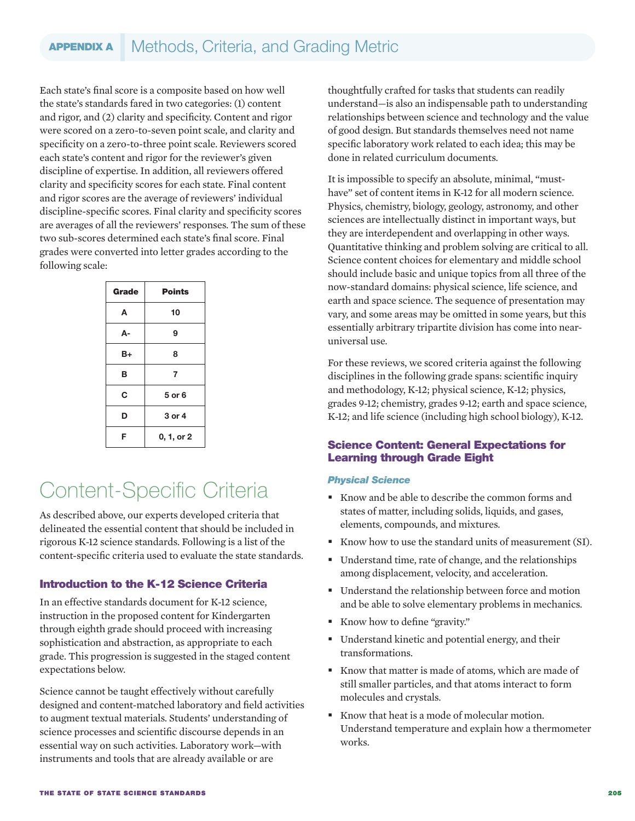Each state's final score is a composite based on how well the state's standards fared in two categories: (1) content and rigor, and (2) clarity and specificity. Content and rigor were scored on a zero-to-seven point scale, and clarity and specificity on a zero-to-three point scale. Reviewers scored each state's content and rigor for the reviewer's given discipline of expertise. In addition, all reviewers offered clarity and specificity scores for each state. Final content and rigor scores are the average of reviewers' individual discipline-specific scores. Final clarity and specificity scores are averages of all the reviewers' responses. The sum of these two sub-scores determined each state's final score. Final grades were converted into letter grades according to the following scale:

| <b>Grade</b> | <b>Points</b> |
|--------------|---------------|
| A            | 10            |
| А-           | 9             |
| B+           | 8             |
| в            | 7             |
| C            | 5 or 6        |
| D            | 3 or 4        |
| F            | 0, 1, or 2    |

### Content-Specific Criteria

As described above, our experts developed criteria that delineated the essential content that should be included in rigorous K-12 science standards. Following is a list of the content-specific criteria used to evaluate the state standards.

### Introduction to the K-12 Science Criteria

In an effective standards document for K-12 science, instruction in the proposed content for Kindergarten through eighth grade should proceed with increasing sophistication and abstraction, as appropriate to each grade. This progression is suggested in the staged content expectations below.

Science cannot be taught effectively without carefully designed and content-matched laboratory and field activities to augment textual materials. Students' understanding of science processes and scientific discourse depends in an essential way on such activities. Laboratory work—with instruments and tools that are already available or are

thoughtfully crafted for tasks that students can readily understand—is also an indispensable path to understanding relationships between science and technology and the value of good design. But standards themselves need not name specific laboratory work related to each idea; this may be done in related curriculum documents.

It is impossible to specify an absolute, minimal, "musthave" set of content items in K-12 for all modern science. Physics, chemistry, biology, geology, astronomy, and other sciences are intellectually distinct in important ways, but they are interdependent and overlapping in other ways. Quantitative thinking and problem solving are critical to all. Science content choices for elementary and middle school should include basic and unique topics from all three of the now-standard domains: physical science, life science, and earth and space science. The sequence of presentation may vary, and some areas may be omitted in some years, but this essentially arbitrary tripartite division has come into nearuniversal use.

For these reviews, we scored criteria against the following disciplines in the following grade spans: scientific inquiry and methodology, K-12; physical science, K-12; physics, grades 9-12; chemistry, grades 9-12; earth and space science, K-12; and life science (including high school biology), K-12.

### Science Content: General Expectations for Learning through Grade Eight

### *Physical Science*

- Know and be able to describe the common forms and states of matter, including solids, liquids, and gases, elements, compounds, and mixtures.
- Know how to use the standard units of measurement (SI).
- Understand time, rate of change, and the relationships among displacement, velocity, and acceleration.
- Understand the relationship between force and motion and be able to solve elementary problems in mechanics.
- Know how to define "gravity."
- Understand kinetic and potential energy, and their transformations.
- Know that matter is made of atoms, which are made of still smaller particles, and that atoms interact to form molecules and crystals.
- Know that heat is a mode of molecular motion. Understand temperature and explain how a thermometer works.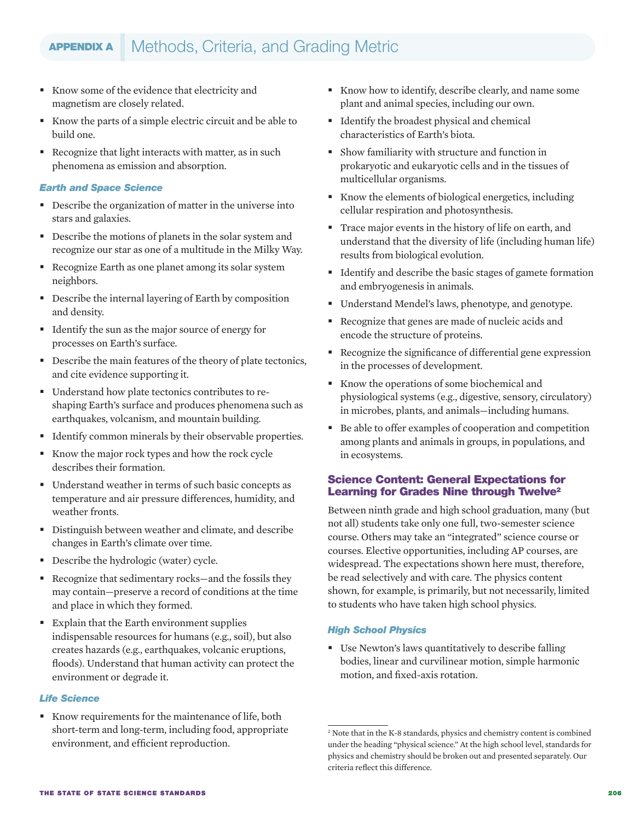- Know some of the evidence that electricity and magnetism are closely related.
- Know the parts of a simple electric circuit and be able to build one.
- Recognize that light interacts with matter, as in such phenomena as emission and absorption.

### *Earth and Space Science*

- Describe the organization of matter in the universe into stars and galaxies.
- Describe the motions of planets in the solar system and recognize our star as one of a multitude in the Milky Way.
- Recognize Earth as one planet among its solar system neighbors.
- Describe the internal layering of Earth by composition and density.
- Identify the sun as the major source of energy for processes on Earth's surface.
- Describe the main features of the theory of plate tectonics, and cite evidence supporting it.
- Understand how plate tectonics contributes to reshaping Earth's surface and produces phenomena such as earthquakes, volcanism, and mountain building.
- Identify common minerals by their observable properties.
- Know the major rock types and how the rock cycle describes their formation.
- Understand weather in terms of such basic concepts as temperature and air pressure differences, humidity, and weather fronts.
- Distinguish between weather and climate, and describe changes in Earth's climate over time.
- Describe the hydrologic (water) cycle.
- Recognize that sedimentary rocks—and the fossils they may contain—preserve a record of conditions at the time and place in which they formed.
- Explain that the Earth environment supplies indispensable resources for humans (e.g., soil), but also creates hazards (e.g., earthquakes, volcanic eruptions, floods). Understand that human activity can protect the environment or degrade it.

### *Life Science*

Know requirements for the maintenance of life, both short-term and long-term, including food, appropriate environment, and efficient reproduction.

- Know how to identify, describe clearly, and name some plant and animal species, including our own.
- Identify the broadest physical and chemical characteristics of Earth's biota.
- Show familiarity with structure and function in prokaryotic and eukaryotic cells and in the tissues of multicellular organisms.
- Know the elements of biological energetics, including cellular respiration and photosynthesis.
- Trace major events in the history of life on earth, and understand that the diversity of life (including human life) results from biological evolution.
- Identify and describe the basic stages of gamete formation and embryogenesis in animals.
- Understand Mendel's laws, phenotype, and genotype.
- Recognize that genes are made of nucleic acids and encode the structure of proteins.
- Recognize the significance of differential gene expression in the processes of development.
- Know the operations of some biochemical and physiological systems (e.g., digestive, sensory, circulatory) in microbes, plants, and animals—including humans.
- Be able to offer examples of cooperation and competition among plants and animals in groups, in populations, and in ecosystems.

### Science Content: General Expectations for Learning for Grades Nine through Twelve<sup>2</sup>

Between ninth grade and high school graduation, many (but not all) students take only one full, two-semester science course. Others may take an "integrated" science course or courses. Elective opportunities, including AP courses, are widespread. The expectations shown here must, therefore, be read selectively and with care. The physics content shown, for example, is primarily, but not necessarily, limited to students who have taken high school physics.

### *High School Physics*

 Use Newton's laws quantitatively to describe falling bodies, linear and curvilinear motion, simple harmonic motion, and fixed-axis rotation.

<sup>2</sup> Note that in the K-8 standards, physics and chemistry content is combined under the heading "physical science." At the high school level, standards for physics and chemistry should be broken out and presented separately. Our criteria reflect this difference.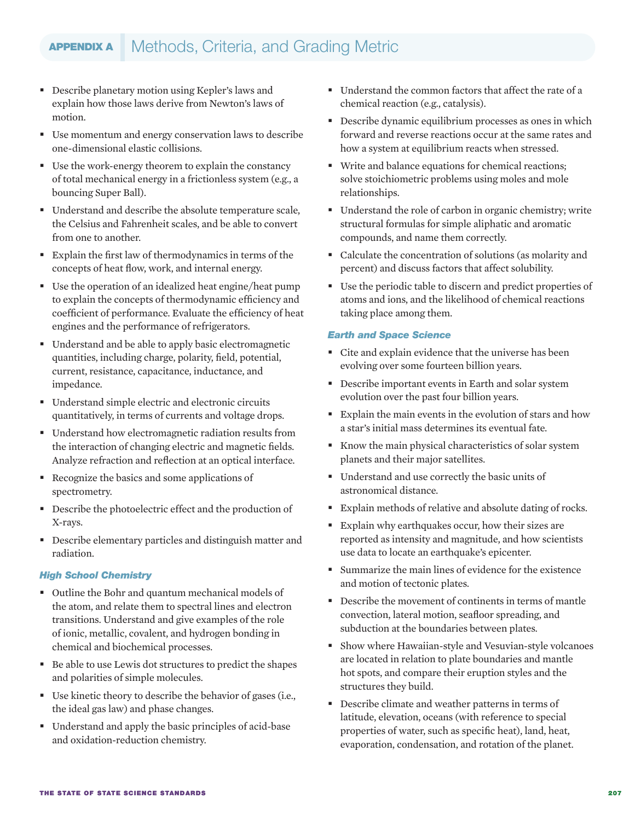- Describe planetary motion using Kepler's laws and explain how those laws derive from Newton's laws of motion.
- Use momentum and energy conservation laws to describe one-dimensional elastic collisions.
- Use the work-energy theorem to explain the constancy of total mechanical energy in a frictionless system (e.g., a bouncing Super Ball).
- Understand and describe the absolute temperature scale, the Celsius and Fahrenheit scales, and be able to convert from one to another.
- Explain the first law of thermodynamics in terms of the concepts of heat flow, work, and internal energy.
- Use the operation of an idealized heat engine/heat pump to explain the concepts of thermodynamic efficiency and coefficient of performance. Evaluate the efficiency of heat engines and the performance of refrigerators.
- Understand and be able to apply basic electromagnetic quantities, including charge, polarity, field, potential, current, resistance, capacitance, inductance, and impedance.
- Understand simple electric and electronic circuits quantitatively, in terms of currents and voltage drops.
- Understand how electromagnetic radiation results from the interaction of changing electric and magnetic fields. Analyze refraction and reflection at an optical interface.
- Recognize the basics and some applications of spectrometry.
- Describe the photoelectric effect and the production of X-rays.
- Describe elementary particles and distinguish matter and radiation.

### *High School Chemistry*

- Outline the Bohr and quantum mechanical models of the atom, and relate them to spectral lines and electron transitions. Understand and give examples of the role of ionic, metallic, covalent, and hydrogen bonding in chemical and biochemical processes.
- Be able to use Lewis dot structures to predict the shapes and polarities of simple molecules.
- Use kinetic theory to describe the behavior of gases (i.e., the ideal gas law) and phase changes.
- Understand and apply the basic principles of acid-base and oxidation-reduction chemistry.
- Understand the common factors that affect the rate of a chemical reaction (e.g., catalysis).
- Describe dynamic equilibrium processes as ones in which forward and reverse reactions occur at the same rates and how a system at equilibrium reacts when stressed.
- Write and balance equations for chemical reactions; solve stoichiometric problems using moles and mole relationships.
- Understand the role of carbon in organic chemistry; write structural formulas for simple aliphatic and aromatic compounds, and name them correctly.
- Calculate the concentration of solutions (as molarity and percent) and discuss factors that affect solubility.
- Use the periodic table to discern and predict properties of atoms and ions, and the likelihood of chemical reactions taking place among them.

### *Earth and Space Science*

- Cite and explain evidence that the universe has been evolving over some fourteen billion years.
- Describe important events in Earth and solar system evolution over the past four billion years.
- Explain the main events in the evolution of stars and how a star's initial mass determines its eventual fate.
- Know the main physical characteristics of solar system planets and their major satellites.
- Understand and use correctly the basic units of astronomical distance.
- Explain methods of relative and absolute dating of rocks.
- Explain why earthquakes occur, how their sizes are reported as intensity and magnitude, and how scientists use data to locate an earthquake's epicenter.
- Summarize the main lines of evidence for the existence and motion of tectonic plates.
- Describe the movement of continents in terms of mantle convection, lateral motion, seafloor spreading, and subduction at the boundaries between plates.
- Show where Hawaiian-style and Vesuvian-style volcanoes are located in relation to plate boundaries and mantle hot spots, and compare their eruption styles and the structures they build.
- Describe climate and weather patterns in terms of latitude, elevation, oceans (with reference to special properties of water, such as specific heat), land, heat, evaporation, condensation, and rotation of the planet.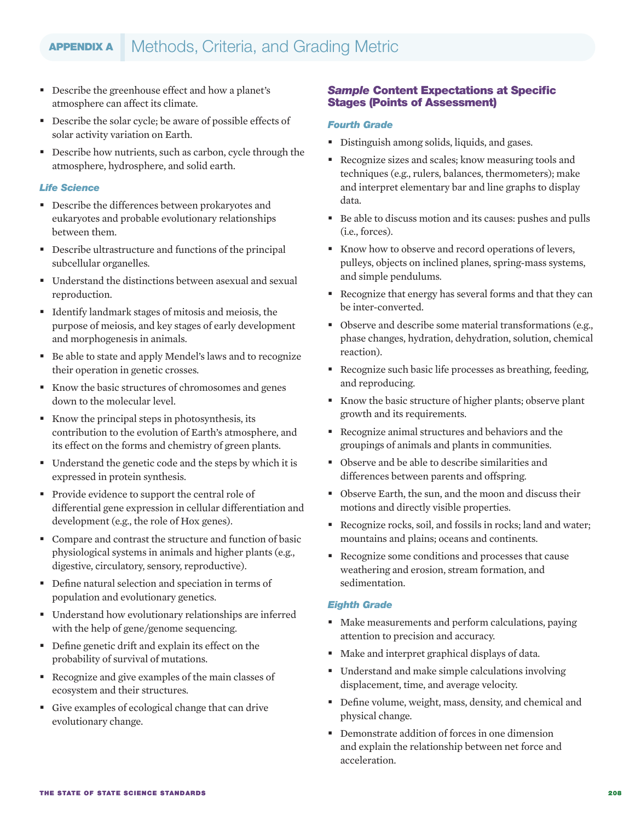- Describe the greenhouse effect and how a planet's atmosphere can affect its climate.
- Describe the solar cycle; be aware of possible effects of solar activity variation on Earth.
- Describe how nutrients, such as carbon, cycle through the atmosphere, hydrosphere, and solid earth.

### *Life Science*

- Describe the differences between prokaryotes and eukaryotes and probable evolutionary relationships between them.
- Describe ultrastructure and functions of the principal subcellular organelles.
- Understand the distinctions between asexual and sexual reproduction.
- Identify landmark stages of mitosis and meiosis, the purpose of meiosis, and key stages of early development and morphogenesis in animals.
- Be able to state and apply Mendel's laws and to recognize their operation in genetic crosses.
- Know the basic structures of chromosomes and genes down to the molecular level.
- Know the principal steps in photosynthesis, its contribution to the evolution of Earth's atmosphere, and its effect on the forms and chemistry of green plants.
- Understand the genetic code and the steps by which it is expressed in protein synthesis.
- **Provide evidence to support the central role of** differential gene expression in cellular differentiation and development (e.g., the role of Hox genes).
- Compare and contrast the structure and function of basic physiological systems in animals and higher plants (e.g., digestive, circulatory, sensory, reproductive).
- Define natural selection and speciation in terms of population and evolutionary genetics.
- Understand how evolutionary relationships are inferred with the help of gene/genome sequencing.
- Define genetic drift and explain its effect on the probability of survival of mutations.
- Recognize and give examples of the main classes of ecosystem and their structures.
- Give examples of ecological change that can drive evolutionary change.

### *Sample* Content Expectations at Specific Stages (Points of Assessment)

### *Fourth Grade*

- Distinguish among solids, liquids, and gases.
- Recognize sizes and scales; know measuring tools and techniques (e.g., rulers, balances, thermometers); make and interpret elementary bar and line graphs to display data.
- Be able to discuss motion and its causes: pushes and pulls (i.e., forces).
- Know how to observe and record operations of levers, pulleys, objects on inclined planes, spring-mass systems, and simple pendulums.
- Recognize that energy has several forms and that they can be inter-converted.
- Observe and describe some material transformations (e.g., phase changes, hydration, dehydration, solution, chemical reaction).
- Recognize such basic life processes as breathing, feeding, and reproducing.
- Know the basic structure of higher plants; observe plant growth and its requirements.
- Recognize animal structures and behaviors and the groupings of animals and plants in communities.
- Observe and be able to describe similarities and differences between parents and offspring.
- Observe Earth, the sun, and the moon and discuss their motions and directly visible properties.
- Recognize rocks, soil, and fossils in rocks; land and water; mountains and plains; oceans and continents.
- Recognize some conditions and processes that cause weathering and erosion, stream formation, and sedimentation.

### *Eighth Grade*

- Make measurements and perform calculations, paying attention to precision and accuracy.
- Make and interpret graphical displays of data.
- Understand and make simple calculations involving displacement, time, and average velocity.
- Define volume, weight, mass, density, and chemical and physical change.
- Demonstrate addition of forces in one dimension and explain the relationship between net force and acceleration.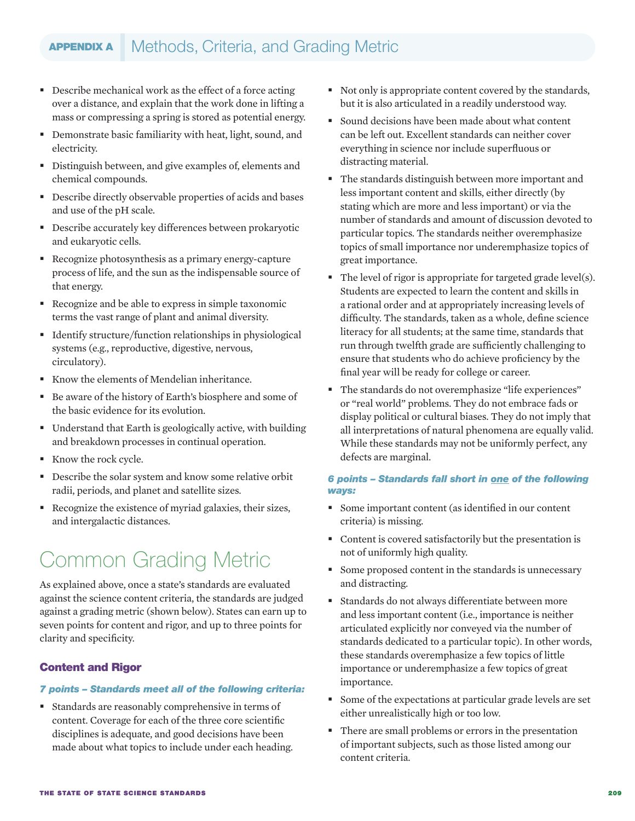- Describe mechanical work as the effect of a force acting over a distance, and explain that the work done in lifting a mass or compressing a spring is stored as potential energy.
- Demonstrate basic familiarity with heat, light, sound, and electricity.
- Distinguish between, and give examples of, elements and chemical compounds.
- Describe directly observable properties of acids and bases and use of the pH scale.
- Describe accurately key differences between prokaryotic and eukaryotic cells.
- Recognize photosynthesis as a primary energy-capture process of life, and the sun as the indispensable source of that energy.
- Recognize and be able to express in simple taxonomic terms the vast range of plant and animal diversity.
- Identify structure/function relationships in physiological systems (e.g., reproductive, digestive, nervous, circulatory).
- Know the elements of Mendelian inheritance.
- Be aware of the history of Earth's biosphere and some of the basic evidence for its evolution.
- Understand that Earth is geologically active, with building and breakdown processes in continual operation.
- Know the rock cycle.
- Describe the solar system and know some relative orbit radii, periods, and planet and satellite sizes.
- Recognize the existence of myriad galaxies, their sizes, and intergalactic distances.

## Common Grading Metric

As explained above, once a state's standards are evaluated against the science content criteria, the standards are judged against a grading metric (shown below). States can earn up to seven points for content and rigor, and up to three points for clarity and specificity.

### Content and Rigor

### *7 points – Standards meet all of the following criteria:*

 Standards are reasonably comprehensive in terms of content. Coverage for each of the three core scientific disciplines is adequate, and good decisions have been made about what topics to include under each heading.

- Not only is appropriate content covered by the standards, but it is also articulated in a readily understood way.
- Sound decisions have been made about what content can be left out. Excellent standards can neither cover everything in science nor include superfluous or distracting material.
- The standards distinguish between more important and less important content and skills, either directly (by stating which are more and less important) or via the number of standards and amount of discussion devoted to particular topics. The standards neither overemphasize topics of small importance nor underemphasize topics of great importance.
- $\blacksquare$  The level of rigor is appropriate for targeted grade level(s). Students are expected to learn the content and skills in a rational order and at appropriately increasing levels of difficulty. The standards, taken as a whole, define science literacy for all students; at the same time, standards that run through twelfth grade are sufficiently challenging to ensure that students who do achieve proficiency by the final year will be ready for college or career.
- The standards do not overemphasize "life experiences" or "real world" problems. They do not embrace fads or display political or cultural biases. They do not imply that all interpretations of natural phenomena are equally valid. While these standards may not be uniformly perfect, any defects are marginal.

### *6 points – Standards fall short in one of the following ways:*

- Some important content (as identified in our content criteria) is missing.
- Content is covered satisfactorily but the presentation is not of uniformly high quality.
- Some proposed content in the standards is unnecessary and distracting.
- Standards do not always differentiate between more and less important content (i.e., importance is neither articulated explicitly nor conveyed via the number of standards dedicated to a particular topic). In other words, these standards overemphasize a few topics of little importance or underemphasize a few topics of great importance.
- Some of the expectations at particular grade levels are set either unrealistically high or too low.
- There are small problems or errors in the presentation of important subjects, such as those listed among our content criteria.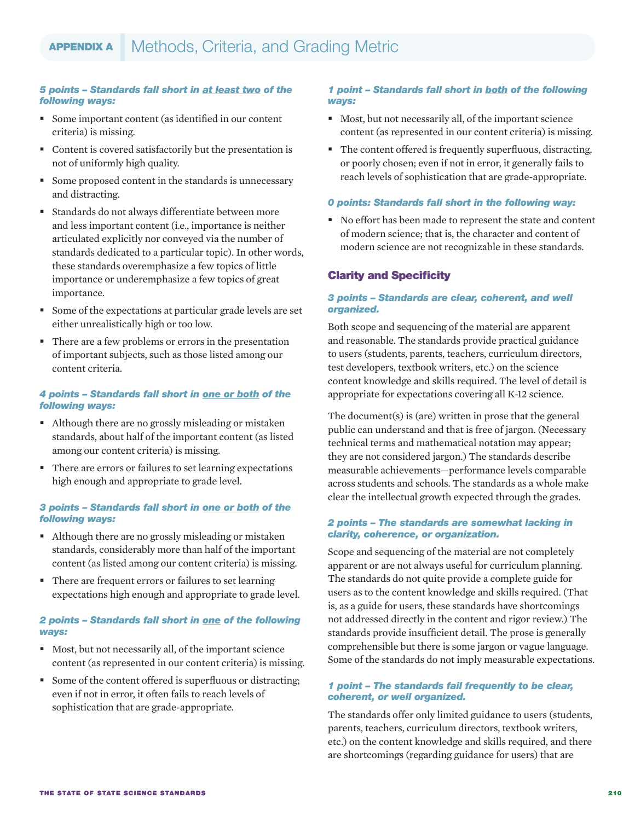### *5 points – Standards fall short in at least two of the following ways:*

- Some important content (as identified in our content criteria) is missing.
- Content is covered satisfactorily but the presentation is not of uniformly high quality.
- Some proposed content in the standards is unnecessary and distracting.
- Standards do not always differentiate between more and less important content (i.e., importance is neither articulated explicitly nor conveyed via the number of standards dedicated to a particular topic). In other words, these standards overemphasize a few topics of little importance or underemphasize a few topics of great importance.
- Some of the expectations at particular grade levels are set either unrealistically high or too low.
- There are a few problems or errors in the presentation of important subjects, such as those listed among our content criteria.

### *4 points – Standards fall short in one or both of the following ways:*

- Although there are no grossly misleading or mistaken standards, about half of the important content (as listed among our content criteria) is missing.
- There are errors or failures to set learning expectations high enough and appropriate to grade level.

### *3 points – Standards fall short in one or both of the following ways:*

- Although there are no grossly misleading or mistaken standards, considerably more than half of the important content (as listed among our content criteria) is missing.
- There are frequent errors or failures to set learning expectations high enough and appropriate to grade level.

### *2 points – Standards fall short in one of the following ways:*

- Most, but not necessarily all, of the important science content (as represented in our content criteria) is missing.
- Some of the content offered is superfluous or distracting; even if not in error, it often fails to reach levels of sophistication that are grade-appropriate.

### *1 point – Standards fall short in both of the following ways:*

- Most, but not necessarily all, of the important science content (as represented in our content criteria) is missing.
- The content offered is frequently superfluous, distracting, or poorly chosen; even if not in error, it generally fails to reach levels of sophistication that are grade-appropriate.

### *0 points: Standards fall short in the following way:*

 No effort has been made to represent the state and content of modern science; that is, the character and content of modern science are not recognizable in these standards.

### Clarity and Specificity

### *3 points – Standards are clear, coherent, and well organized.*

Both scope and sequencing of the material are apparent and reasonable. The standards provide practical guidance to users (students, parents, teachers, curriculum directors, test developers, textbook writers, etc.) on the science content knowledge and skills required. The level of detail is appropriate for expectations covering all K-12 science.

The document(s) is (are) written in prose that the general public can understand and that is free of jargon. (Necessary technical terms and mathematical notation may appear; they are not considered jargon.) The standards describe measurable achievements—performance levels comparable across students and schools. The standards as a whole make clear the intellectual growth expected through the grades.

### *2 points – The standards are somewhat lacking in clarity, coherence, or organization.*

Scope and sequencing of the material are not completely apparent or are not always useful for curriculum planning. The standards do not quite provide a complete guide for users as to the content knowledge and skills required. (That is, as a guide for users, these standards have shortcomings not addressed directly in the content and rigor review.) The standards provide insufficient detail. The prose is generally comprehensible but there is some jargon or vague language. Some of the standards do not imply measurable expectations.

### *1 point – The standards fail frequently to be clear, coherent, or well organized.*

The standards offer only limited guidance to users (students, parents, teachers, curriculum directors, textbook writers, etc.) on the content knowledge and skills required, and there are shortcomings (regarding guidance for users) that are